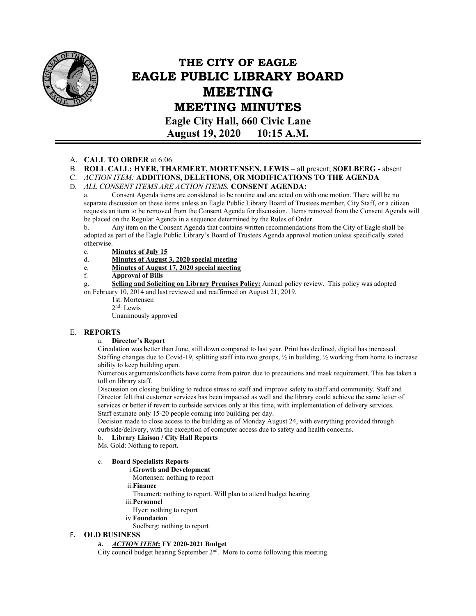

# **THE CITY OF EAGLE EAGLE PUBLIC LIBRARY BOARD MEETING MEETING MINUTES Eagle City Hall, 660 Civic Lane**

**August 19, 2020 10:15 A.M.** 

#### A. **CALL TO ORDER** at 6:06

- B. **ROLL CALL: HYER, THAEMERT, MORTENSEN, LEWIS** all present; **SOELBERG** absent
- C. *ACTION ITEM:* **ADDITIONS, DELETIONS, OR MODIFICATIONS TO THE AGENDA**

D. *ALL CONSENT ITEMS ARE ACTION ITEMS.* **CONSENT AGENDA:**

Consent Agenda items are considered to be routine and are acted on with one motion. There will be no separate discussion on these items unless an Eagle Public Library Board of Trustees member, City Staff, or a citizen requests an item to be removed from the Consent Agenda for discussion. Items removed from the Consent Agenda will be placed on the Regular Agenda in a sequence determined by the Rules of Order.

b. Any item on the Consent Agenda that contains written recommendations from the City of Eagle shall be adopted as part of the Eagle Public Library's Board of Trustees Agenda approval motion unless specifically stated otherwise.

- c. **Minutes of July 15**
- d. **Minutes of August 3, 2020 special meeting**
- e. **Minutes of August 17, 2020 special meeting**
- f. **Approval of Bills**

g. **Selling and Soliciting on Library Premises Policy:** Annual policy review. This policy was adopted on February 10, 2014 and last reviewed and reaffirmed on August 21, 2019.

- 1st: Mortensen
- 2nd: Lewis

Unanimously approved

#### E. **REPORTS**

#### a. **Director's Report**

Circulation was better than June, still down compared to last year. Print has declined, digital has increased. Staffing changes due to Covid-19, splitting staff into two groups,  $\frac{1}{2}$  in building,  $\frac{1}{2}$  working from home to increase ability to keep building open.

Numerous arguments/conflicts have come from patron due to precautions and mask requirement. This has taken a toll on library staff.

Discussion on closing building to reduce stress to staff and improve safety to staff and community. Staff and Director felt that customer services has been impacted as well and the library could achieve the same letter of services or better if revert to curbside services only at this time, with implementation of delivery services. Staff estimate only 15-20 people coming into building per day.

Decision made to close access to the building as of Monday August 24, with everything provided through curbside/delivery, with the exception of computer access due to safety and health concerns.

b. **Library Liaison / City Hall Reports** 

Ms. Gold: Nothing to report.

#### c. **Board Specialists Reports**

#### i.**Growth and Development**

- Mortensen: nothing to report
- ii.**Finance**
- Thaemert: nothing to report. Will plan to attend budget hearing
- iii.**Personnel**  Hyer: nothing to report
- iv.**Foundation**
- Soelberg: nothing to report

#### F. **OLD BUSINESS**

#### a. *ACTION ITEM***: FY 2020-2021 Budget**

City council budget hearing September  $2<sup>nd</sup>$ . More to come following this meeting.